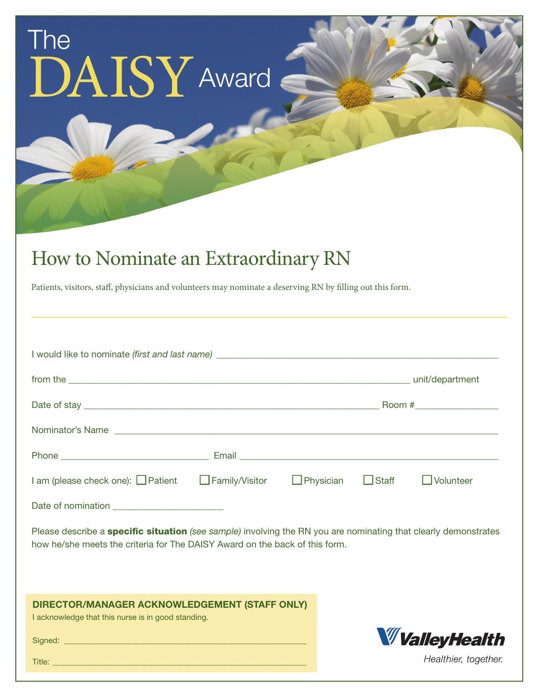## The DAISY Award

## How to Nominate an Extraordinary RN

Patients, visitors, staff, physicians and volunteers may nominate a deserving RN by filling out this form.

| from the electronic contract of the state of the state of the state of the state of the state of the state of the state of the state of the state of the state of the state of the state of the state of the state of the stat |                       |                  |              | unit/department  |  |  |
|--------------------------------------------------------------------------------------------------------------------------------------------------------------------------------------------------------------------------------|-----------------------|------------------|--------------|------------------|--|--|
|                                                                                                                                                                                                                                |                       |                  |              |                  |  |  |
|                                                                                                                                                                                                                                |                       |                  |              |                  |  |  |
|                                                                                                                                                                                                                                |                       |                  |              |                  |  |  |
| I am (please check one): $\Box$ Patient                                                                                                                                                                                        | $\Box$ Family/Visitor | $\Box$ Physician | $\Box$ Staff | $\Box$ Volunteer |  |  |
|                                                                                                                                                                                                                                |                       |                  |              |                  |  |  |

Please describe a specific situation *(see sample)* involving the RN you are nominating that clearly demonstrates how he/she meets the criteria for The DAISY Award on the back of this form.

## DIRECTOR/MANAGER ACKNOWLEDGEMENT (STAFF ONLY)

I acknowledge that this nurse is in good standing.

Signed: \_\_\_\_\_\_\_\_\_\_\_\_\_\_\_\_\_\_\_\_\_\_\_\_\_\_\_\_\_\_\_\_\_\_\_\_\_\_\_\_\_\_\_\_\_\_\_\_\_\_\_\_\_\_\_\_\_\_\_\_\_

**W** Valley Health Healthier, together.

Title: \_\_\_\_\_\_\_\_\_\_\_\_\_\_\_\_\_\_\_\_\_\_\_\_\_\_\_\_\_\_\_\_\_\_\_\_\_\_\_\_\_\_\_\_\_\_\_\_\_\_\_\_\_\_\_\_\_\_\_\_\_\_\_\_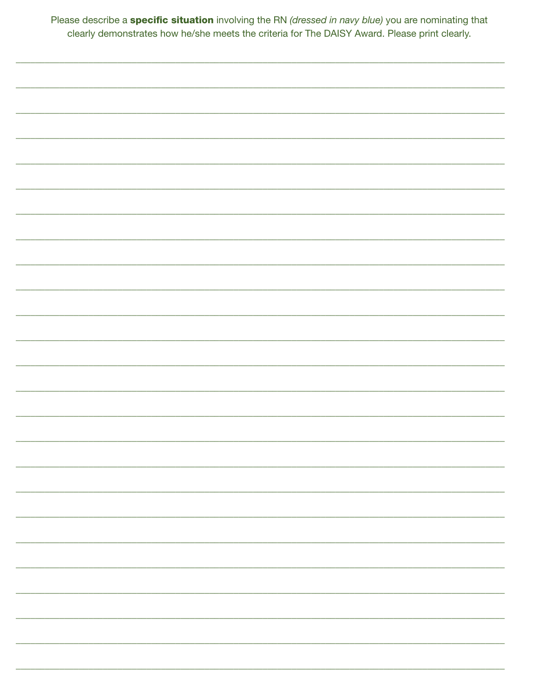| Please describe a <b>specific situation</b> involving the RN (dressed in navy blue) you are nominating that |  |
|-------------------------------------------------------------------------------------------------------------|--|
| clearly demonstrates how he/she meets the criteria for The DAISY Award. Please print clearly.               |  |

| _________________ |
|-------------------|
|                   |
| ________________  |
|                   |
|                   |
|                   |
|                   |
|                   |
|                   |
| _________________ |
|                   |
|                   |